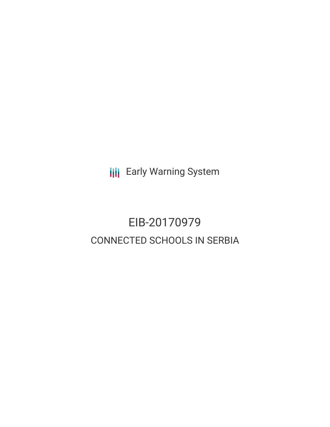**III** Early Warning System

# EIB-20170979 CONNECTED SCHOOLS IN SERBIA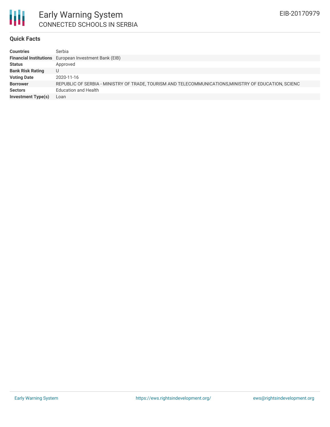

#### **Quick Facts**

| <b>Countries</b>          | Serbia                                                                                                |
|---------------------------|-------------------------------------------------------------------------------------------------------|
|                           | <b>Financial Institutions</b> European Investment Bank (EIB)                                          |
| <b>Status</b>             | Approved                                                                                              |
| <b>Bank Risk Rating</b>   | U                                                                                                     |
| <b>Voting Date</b>        | 2020-11-16                                                                                            |
| <b>Borrower</b>           | REPUBLIC OF SERBIA - MINISTRY OF TRADE, TOURISM AND TELECOMMUNICATIONS, MINISTRY OF EDUCATION, SCIENC |
| <b>Sectors</b>            | <b>Education and Health</b>                                                                           |
| <b>Investment Type(s)</b> | Loan                                                                                                  |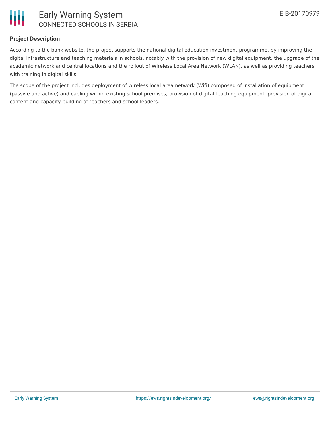

## **Project Description**

According to the bank website, the project supports the national digital education investment programme, by improving the digital infrastructure and teaching materials in schools, notably with the provision of new digital equipment, the upgrade of the academic network and central locations and the rollout of Wireless Local Area Network (WLAN), as well as providing teachers with training in digital skills.

The scope of the project includes deployment of wireless local area network (Wifi) composed of installation of equipment (passive and active) and cabling within existing school premises, provision of digital teaching equipment, provision of digital content and capacity building of teachers and school leaders.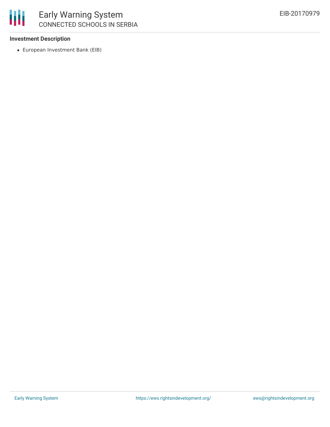#### **Investment Description**

European Investment Bank (EIB)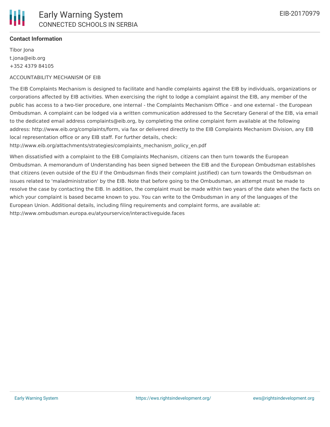### **Contact Information**

Tibor Jona t.jona@eib.org +352 4379 84105

#### ACCOUNTABILITY MECHANISM OF EIB

The EIB Complaints Mechanism is designed to facilitate and handle complaints against the EIB by individuals, organizations or corporations affected by EIB activities. When exercising the right to lodge a complaint against the EIB, any member of the public has access to a two-tier procedure, one internal - the Complaints Mechanism Office - and one external - the European Ombudsman. A complaint can be lodged via a written communication addressed to the Secretary General of the EIB, via email to the dedicated email address complaints@eib.org, by completing the online complaint form available at the following address: http://www.eib.org/complaints/form, via fax or delivered directly to the EIB Complaints Mechanism Division, any EIB local representation office or any EIB staff. For further details, check:

http://www.eib.org/attachments/strategies/complaints\_mechanism\_policy\_en.pdf

When dissatisfied with a complaint to the EIB Complaints Mechanism, citizens can then turn towards the European Ombudsman. A memorandum of Understanding has been signed between the EIB and the European Ombudsman establishes that citizens (even outside of the EU if the Ombudsman finds their complaint justified) can turn towards the Ombudsman on issues related to 'maladministration' by the EIB. Note that before going to the Ombudsman, an attempt must be made to resolve the case by contacting the EIB. In addition, the complaint must be made within two years of the date when the facts on which your complaint is based became known to you. You can write to the Ombudsman in any of the languages of the European Union. Additional details, including filing requirements and complaint forms, are available at: http://www.ombudsman.europa.eu/atyourservice/interactiveguide.faces